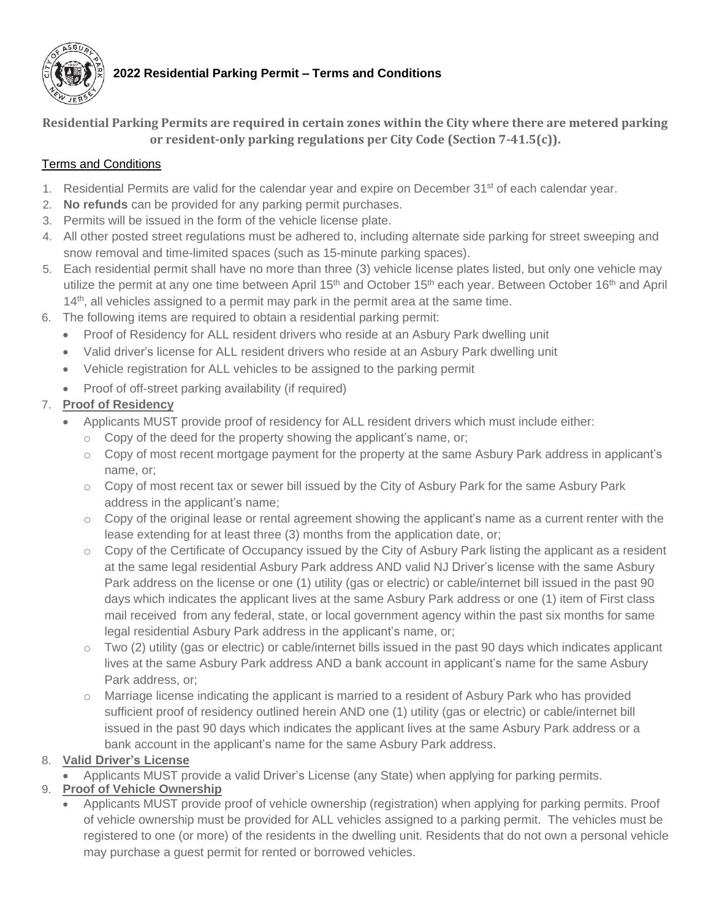

# **2022 Residential Parking Permit – Terms and Conditions**

**Residential Parking Permits are required in certain zones within the City where there are metered parking or resident-only parking regulations per City Code (Section 7-41.5(c)).**

### Terms and Conditions

- 1. Residential Permits are valid for the calendar year and expire on December 31<sup>st</sup> of each calendar year.
- 2. **No refunds** can be provided for any parking permit purchases.
- 3. Permits will be issued in the form of the vehicle license plate.
- 4. All other posted street regulations must be adhered to, including alternate side parking for street sweeping and snow removal and time-limited spaces (such as 15-minute parking spaces).
- 5. Each residential permit shall have no more than three (3) vehicle license plates listed, but only one vehicle may utilize the permit at any one time between April 15<sup>th</sup> and October 15<sup>th</sup> each year. Between October 16<sup>th</sup> and April 14<sup>th</sup>, all vehicles assigned to a permit may park in the permit area at the same time.
- 6. The following items are required to obtain a residential parking permit:
	- Proof of Residency for ALL resident drivers who reside at an Asbury Park dwelling unit
	- Valid driver's license for ALL resident drivers who reside at an Asbury Park dwelling unit
	- Vehicle registration for ALL vehicles to be assigned to the parking permit
	- Proof of off-street parking availability (if required)

## 7. **Proof of Residency**

- Applicants MUST provide proof of residency for ALL resident drivers which must include either:
	- $\circ$  Copy of the deed for the property showing the applicant's name, or;
	- o Copy of most recent mortgage payment for the property at the same Asbury Park address in applicant's name, or;
	- $\circ$  Copy of most recent tax or sewer bill issued by the City of Asbury Park for the same Asbury Park address in the applicant's name;
	- $\circ$  Copy of the original lease or rental agreement showing the applicant's name as a current renter with the lease extending for at least three (3) months from the application date, or;
	- $\circ$  Copy of the Certificate of Occupancy issued by the City of Asbury Park listing the applicant as a resident at the same legal residential Asbury Park address AND valid NJ Driver's license with the same Asbury Park address on the license or one (1) utility (gas or electric) or cable/internet bill issued in the past 90 days which indicates the applicant lives at the same Asbury Park address or one (1) item of First class mail received from any federal, state, or local government agency within the past six months for same legal residential Asbury Park address in the applicant's name, or;
	- $\circ$  Two (2) utility (gas or electric) or cable/internet bills issued in the past 90 days which indicates applicant lives at the same Asbury Park address AND a bank account in applicant's name for the same Asbury Park address, or;
	- o Marriage license indicating the applicant is married to a resident of Asbury Park who has provided sufficient proof of residency outlined herein AND one (1) utility (gas or electric) or cable/internet bill issued in the past 90 days which indicates the applicant lives at the same Asbury Park address or a bank account in the applicant's name for the same Asbury Park address.

## 8. **Valid Driver's License**

• Applicants MUST provide a valid Driver's License (any State) when applying for parking permits.

## 9. **Proof of Vehicle Ownership**

• Applicants MUST provide proof of vehicle ownership (registration) when applying for parking permits. Proof of vehicle ownership must be provided for ALL vehicles assigned to a parking permit. The vehicles must be registered to one (or more) of the residents in the dwelling unit. Residents that do not own a personal vehicle may purchase a guest permit for rented or borrowed vehicles.